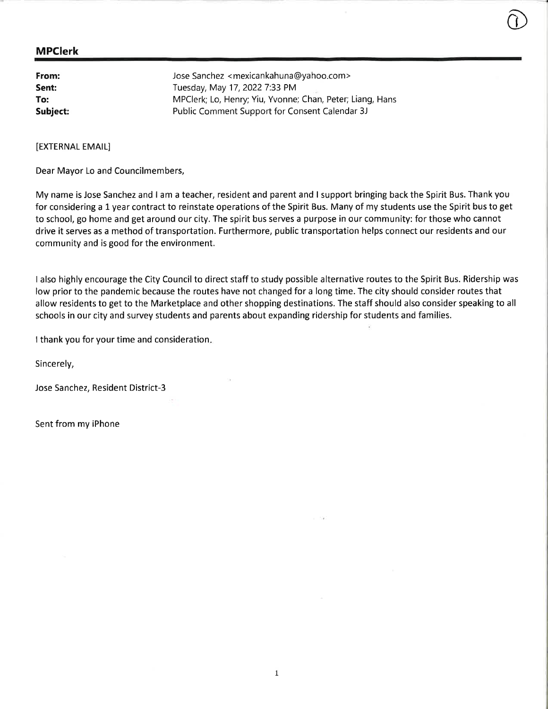| From:    | Jose Sanchez <mexicankahuna@yahoo.com></mexicankahuna@yahoo.com> |
|----------|------------------------------------------------------------------|
| Sent:    | Tuesday, May 17, 2022 7:33 PM                                    |
| To:      | MPClerk; Lo, Henry; Yiu, Yvonne; Chan, Peter; Liang, Hans        |
| Subject: | Public Comment Support for Consent Calendar 3J                   |

[EXTERNAL EMAIL]

Dear Mayor Lo and Councilmembers,

My name is Jose Sanchez and I am a teacher, resident and parent and I support bringing back the Spirit Bus. Thank you for considering a 1 year contract to reinstate operations of the Spirit Bus. Many of my students use the Spirit bus to get to school, go home and get around our city. The spirit bus serves a purpose in our community: for those who cannot drive it serves as a method of transportation. Furthermore, public transportation helps connect our residents and our community and is good for the environment.

o

I also highly encourage the City Council to direct staff to study possible alternative routes to the Spirit Bus. Ridership was low prior to the pandemic because the routes have not changed for a long time. The city should consider routes that allow residents to get to the Marketplace and other shopping destinations. The staff should also consider speaking to all schools in our city and survey students and parents about expanding ridership for students and families.

I thank you for your time and consideration

Sincerely,

Jose Sanchez, Resident District-3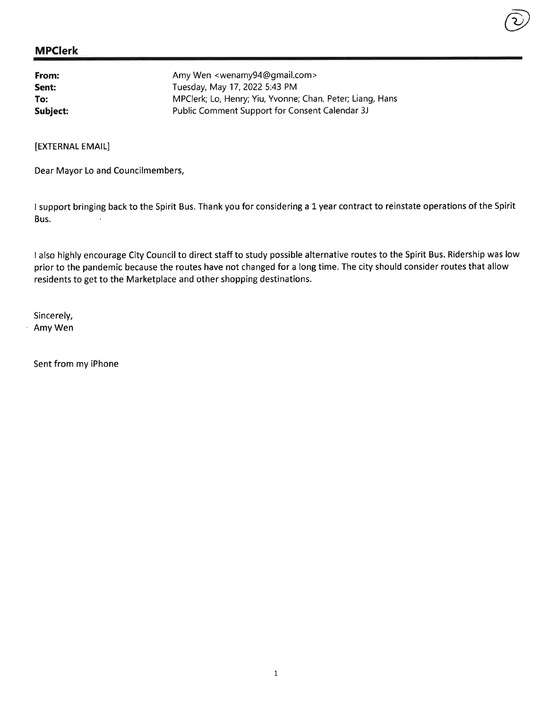| From:    | Amy Wen <wenamy94@gmail.com></wenamy94@gmail.com>         |
|----------|-----------------------------------------------------------|
| Sent:    | Tuesday, May 17, 2022 5:43 PM                             |
| To:      | MPClerk; Lo, Henry; Yiu, Yvonne; Chan, Peter; Liang, Hans |
| Subject: | Public Comment Support for Consent Calendar 3J            |

[EXTERNAL EMAIL]

Dear Mayor Lo and Councilmembers,

<sup>I</sup>support bringing back to the Spirit Bus. Thank you for considering a 1 year contract to reinstate operations of the Spirit Bus.  $\bar{1}$ 

@

I also highly encourage City Council to direct staff to study possible alternative routes to the Spirit Bus. Ridership was low prior to the pandemic because the routes have not changed for a long time. The city should consider routes that allow residents to get to the Marketplace and other shopping destinations.

Sincerely, Amy Wen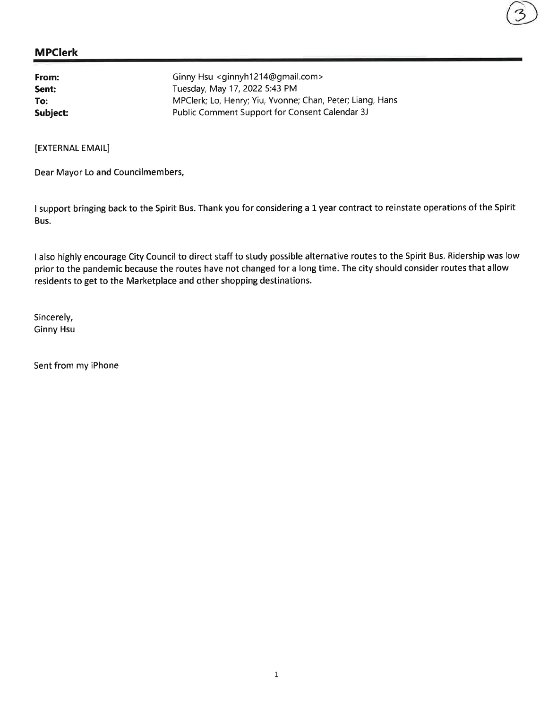| From:    | Ginny Hsu <ginnyh1214@gmail.com></ginnyh1214@gmail.com>   |
|----------|-----------------------------------------------------------|
| Sent:    | Tuesday, May 17, 2022 5:43 PM                             |
| To:      | MPClerk; Lo, Henry; Yiu, Yvonne; Chan, Peter; Liang, Hans |
| Subject: | Public Comment Support for Consent Calendar 3J            |

[EXTERNAL EMAIL]

Dear Mayor Lo and Councilmembers,

I support bringing back to the Spirit Bus. Thank you for considering a 1 year contract to reinstate operations of the Spirit Bus.

I also highly encourage City Council to direct staff to study possible alternative routes to the Spirit Bus. Ridership was low prior to the pandemic because the routes have not changed for a long time. The city should consider routes that allow residents to get to the Marketplace and other shopping destinations.

Sincerely, Ginny Hsu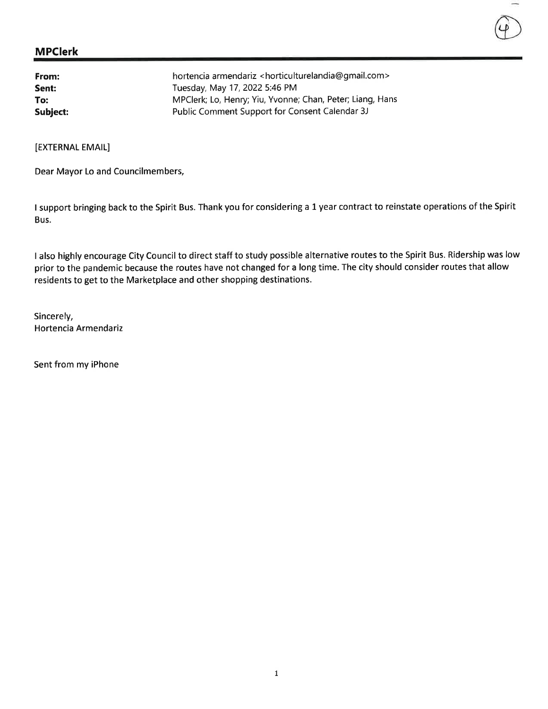| From:    | hortencia armendariz <horticulturelandia@gmail.com></horticulturelandia@gmail.com> |
|----------|------------------------------------------------------------------------------------|
| Sent:    | Tuesday, May 17, 2022 5:46 PM                                                      |
| To:      | MPClerk; Lo, Henry; Yiu, Yvonne; Chan, Peter; Liang, Hans                          |
| Subject: | Public Comment Support for Consent Calendar 3J                                     |

[EXTERNAL EMAIL]

Dear Mayor Lo and Councilmembers,

I support bringing back to the Spirit Bus. Thank you for considering a L year contract to reinstate operations of the Spirit Bus.

<sup>I</sup>also highly encourage City Council to direct staff to study possible alternative routes to the Spirit Bus. Ridership was low prior to the pandemic because the routes have not changed for a long time. The city should consider routes that allow residents to get to the Marketplace and other shopping destinations.

Sincerely, Hortencia Armendariz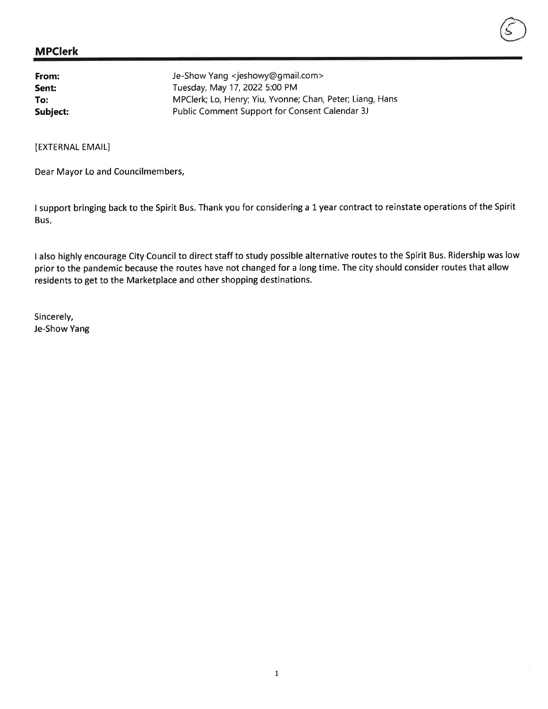| From:    | Je-Show Yang <jeshowy@gmail.com></jeshowy@gmail.com>      |
|----------|-----------------------------------------------------------|
| Sent:    | Tuesday, May 17, 2022 5:00 PM                             |
| To:      | MPClerk; Lo, Henry; Yiu, Yvonne; Chan, Peter; Liang, Hans |
| Subject: | Public Comment Support for Consent Calendar 3J            |

[EXTERNAL EMAIL]

Dear Mayor Lo and Councilmembers,

<sup>I</sup>support bringing back to the Spirit Bus. Thank you for considering a 1 year contract to reinstate operations of the Spirit Bus

<sup>I</sup>also highly encourage City Council to direct staff to study possible alternative routes to the Spirit Bus. Ridership was low prior to the pandemic because the routes have not changed for a long time. The city should consider routes that allow residents to get to the Marketplace and other shopping destinations.

Sincerely, Je-Show Yang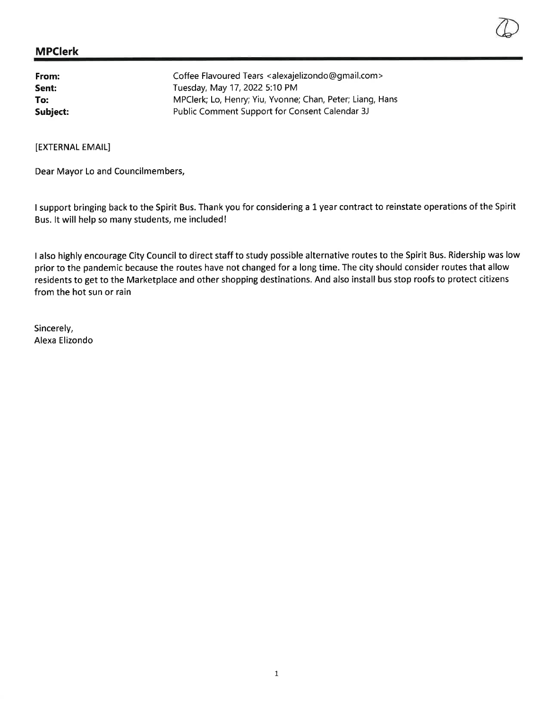| From:    | Coffee Flavoured Tears <alexajelizondo@gmail.com></alexajelizondo@gmail.com> |
|----------|------------------------------------------------------------------------------|
| Sent:    | Tuesday, May 17, 2022 5:10 PM                                                |
| To:      | MPClerk; Lo, Henry; Yiu, Yvonne; Chan, Peter; Liang, Hans                    |
| Subject: | Public Comment Support for Consent Calendar 3J                               |

[EXTERNAL EMAIL]

Dear Mayor Lo and Councilmembers,

I support bringing back to the Spirit Bus. Thank you for considering a L year contract to reinstate operations of the Spirit Bus. lt will help so many students, me included!

I also highly encourage City Council to direct staff to study possible alternative routes to the Spirit Bus. Ridership was low prior to the pandemic because the routes have not changed for a long time. The city should consider routes that allow residents to get to the Marketplace and other shopping destinations. And also install bus stop roofs to protect citizens from the hot sun or rain

Sincerely, Alexa Elizondo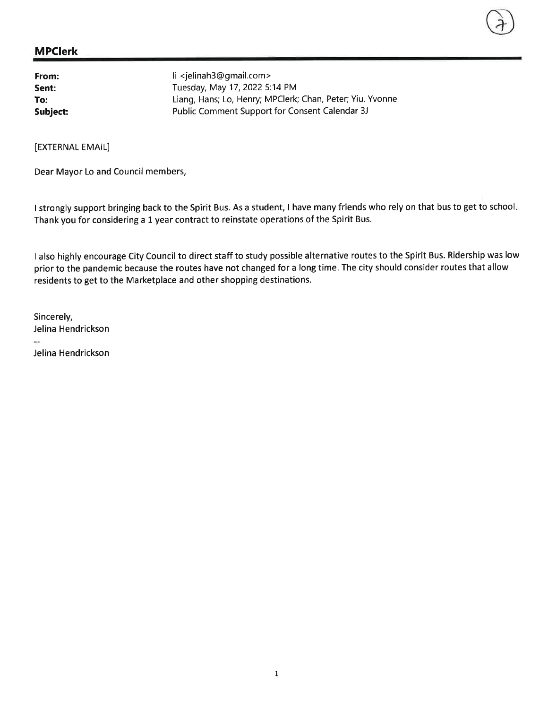| From:    | li <jelinah3@gmail.com></jelinah3@gmail.com>              |
|----------|-----------------------------------------------------------|
| Sent:    | Tuesday, May 17, 2022 5:14 PM                             |
| To:      | Liang, Hans; Lo, Henry; MPClerk; Chan, Peter; Yiu, Yvonne |
| Subject: | Public Comment Support for Consent Calendar 3J            |

[EXTERNAL EMAIL]

Dear Mayor Lo and Council members,

I strongly support bringing back to the Spirit Bus. As a student, I have many friends who rely on that bus to get to school. Thank you for considering a 1 year contract to reinstate operations of the Spirit Bus.

<sup>I</sup>also highly encourage City Council to direct staff to study possible alternative routes to the Spirit Bus. Ridership was low prior to the pandemic because the routes have not changed for a long time. The city should consider routes that allow residents to get to the Marketplace and other shopping destinations.

Sincerely, Jelina Hendrickson m. Jelina Hendrickson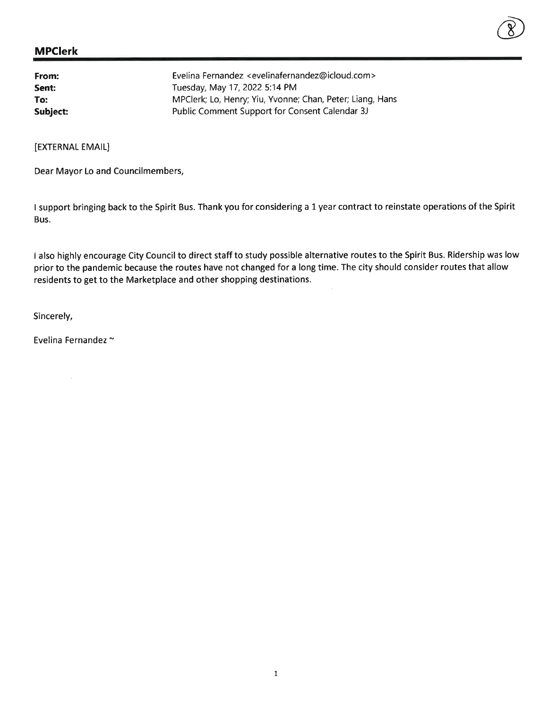| From:    | Evelina Fernandez <evelinafernandez@icloud.com></evelinafernandez@icloud.com> |
|----------|-------------------------------------------------------------------------------|
| Sent:    | Tuesday, May 17, 2022 5:14 PM                                                 |
| To:      | MPClerk; Lo, Henry; Yiu, Yvonne; Chan, Peter; Liang, Hans                     |
| Subject: | Public Comment Support for Consent Calendar 3J                                |

[EXTERNAL EMAIL]

Dear Mayor Lo and Councilmembers,

I support bringing back to the Spirit Bus. Thank you for considering a 1 year contract to reinstate operations of the Spirit Bus.

 $\circled{8}$ 

I also highly encourage City Council to direct staff to study possible alternative routes to the Spirit Bus. Ridership was low prior to the pandemic because the routes have not changed for a long time. The city should consider routes that allow residents to get to the Marketplace and other shopping destinations.

Sincerely,

Evelina Fernandez ~

 $\widehat{\omega}$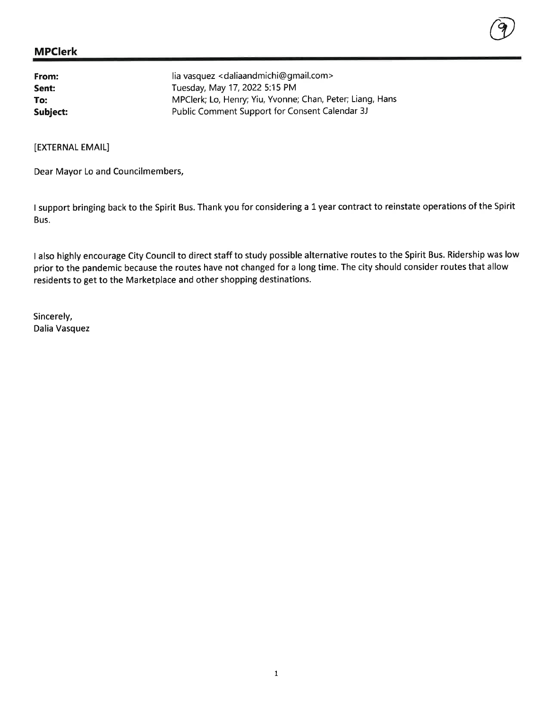| From:    | lia vasquez < daliaandmichi@gmail.com>                    |
|----------|-----------------------------------------------------------|
| Sent:    | Tuesday, May 17, 2022 5:15 PM                             |
| To:      | MPClerk; Lo, Henry; Yiu, Yvonne; Chan, Peter; Liang, Hans |
| Subject: | Public Comment Support for Consent Calendar 3J            |

[EXTERNAL EMAIL]

Dear Mayor Lo and Councilmembers,

<sup>I</sup>support bringing back to the Spirit Bus. Thank you for considering a 1 year contract to reinstate operations of the Spirit Bus.

@

<sup>I</sup>also highly encourage City Council to direct staff to study possible alternative routes to the Spirit Bus. Ridership was low prior to the pandemic because the routes have not changed for a long time. The city should consider routes that allow residents to get to the Marketplace and other shopping destinations.

Sincerely, Dalia Vasquez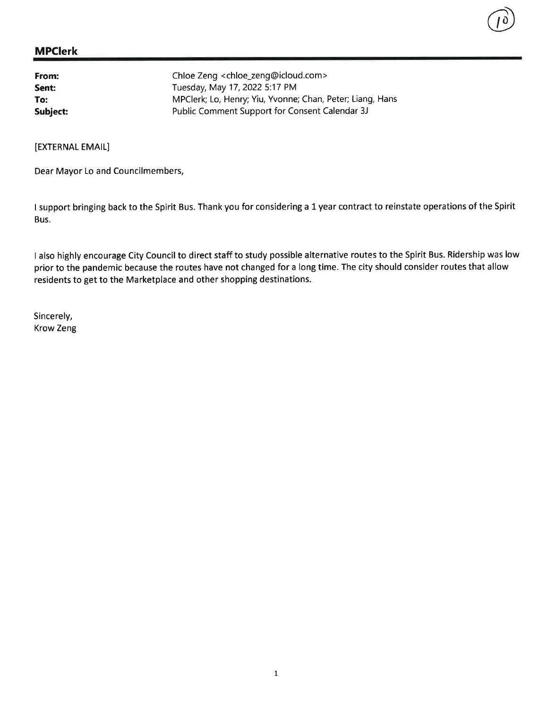| From:    | Chloe Zeng < chloe_zeng@icloud.com>                       |
|----------|-----------------------------------------------------------|
| Sent:    | Tuesday, May 17, 2022 5:17 PM                             |
| To:      | MPClerk; Lo, Henry; Yiu, Yvonne; Chan, Peter; Liang, Hans |
| Subject: | Public Comment Support for Consent Calendar 3J            |

[EXTERNAL EMAIL]

Dear Mayor Lo and Councilmembers,

I support bringing back to the Spirit Bus. Thank you for considering a L year contract to reinstate operations of the Spirit Bus.

 $\begin{pmatrix} 0 \end{pmatrix}$ 

I also highly encourage City Council to direct staff to study possible alternative routes to the Spirit Bus. Ridership was low prior to the pandemic because the routes have not changed for a long time. The city should consider routes that allow residents to get to the Marketplace and other shopping destinations.

Sincerely, Krow Zeng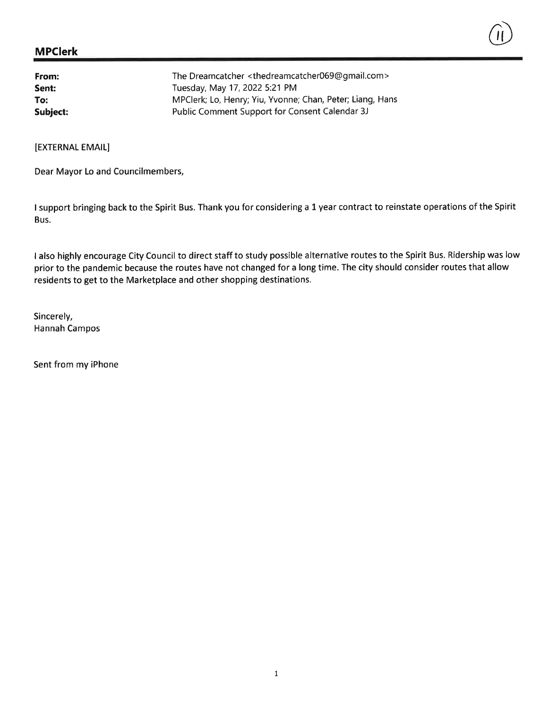| From:    | The Dreamcatcher <thedreamcatcher069@gmail.com></thedreamcatcher069@gmail.com> |
|----------|--------------------------------------------------------------------------------|
| Sent:    | Tuesday, May 17, 2022 5:21 PM                                                  |
| To:      | MPClerk; Lo, Henry; Yiu, Yvonne; Chan, Peter; Liang, Hans                      |
| Subject: | Public Comment Support for Consent Calendar 3J                                 |

[EXTERNAL EMAIL]

Dear Mayor Lo and Councilmembers,

<sup>I</sup>support bringing back to the Spirit Bus. Thank you for considering a 1 year contract to reinstate operations of the Spirit Bus.

 $\binom{1}{1}$ 

I also highly encourage City Council to direct staff to study possible alternative routes to the Spirit Bus. Ridership was low prior to the pandemic because the routes have not changed for a long time. The city should consider routes that allow residents to get to the Marketplace and other shopping destinations.

Sincerely, Hannah Campos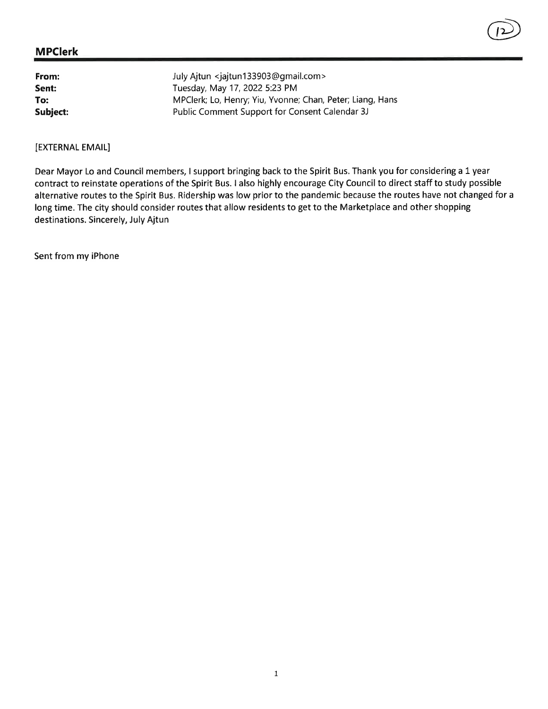| From:    | July Ajtun <jajtun133903@gmail.com></jajtun133903@gmail.com> |
|----------|--------------------------------------------------------------|
| Sent:    | Tuesday, May 17, 2022 5:23 PM                                |
| To:      | MPClerk; Lo, Henry; Yiu, Yvonne; Chan, Peter; Liang, Hans    |
| Subject: | Public Comment Support for Consent Calendar 3J               |

#### [EXTERNAL EMAIL]

Dear Mayor Lo and Council members, I support bringing back to the Spirit Bus. Thank you for considering a 1 year contract to reinstate operations of the Spirit Bus. I also highly encourage City Council to direct staff to study possible alternative routes to the Spirit Bus. Ridership was low prior to the pandemic because the routes have not changed for <sup>a</sup> long time. The city should consider routes that allow residents to get to the Marketplace and other shopping destinations. Sincerely, July Ajtun

 $\circled{12}$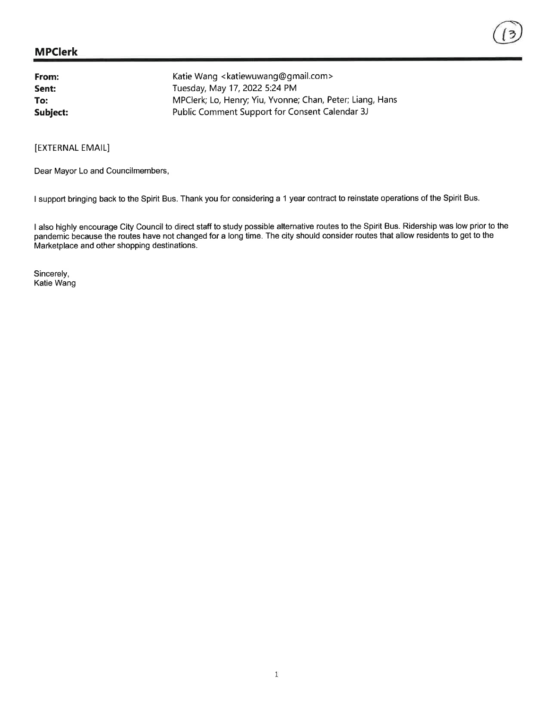#### MPclerk

| From:    | Katie Wang <katiewuwang@gmail.com></katiewuwang@gmail.com> |
|----------|------------------------------------------------------------|
| Sent:    | Tuesday, May 17, 2022 5:24 PM                              |
| To:      | MPClerk; Lo, Henry; Yiu, Yvonne; Chan, Peter; Liang, Hans  |
| Subject: | Public Comment Support for Consent Calendar 3J             |

[EXTERNAL EMAIL]

Dear Mayor Lo and Councilmembers,

I support bringing back to the Spirit Bus. Thank you for considering a 1 year contract to reinstate operations of the Spirit Bus.

I also highly encourage City Council to direct staff to study possible alternative routes to the Spirit Bus. Ridership was low prior to the pandemic because the routes have not changed for a long time. The city should consider routes that allow residents to get to the Marketplace and other shopping destinations.

Sincerely, Katie Wang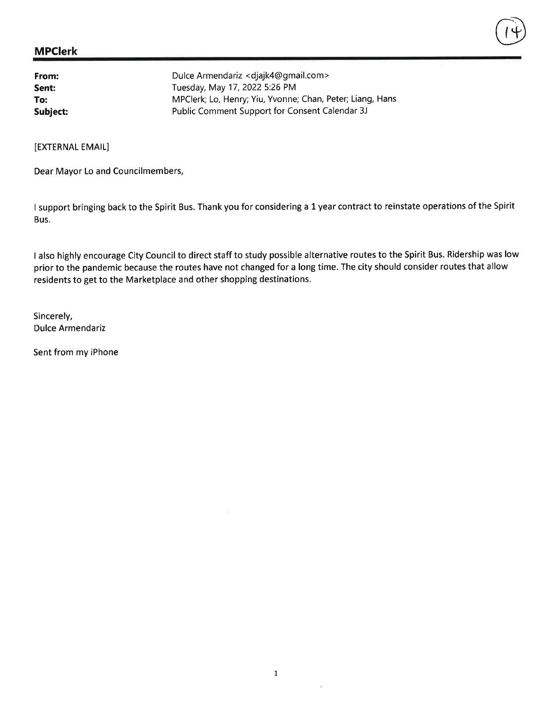From: Sent: To: Dulce Armendariz < djajk4@ gmail.com > Tuesday, May 17, 2022 5:26 PM MPClerk; Lo, Henry; Yiu, Yvonne; Chan, Peter; Liang, Hans Subject: Public Comment Support for Consent Calendar 3J

[EXTERNAL EMAIL]

Dear Mayor Lo and Councilmembers,

<sup>I</sup>support bringing back to the Spirit Bus. Thank you for considering a 1 year contract to reinstate operations of the Spirit Bus.

 $(14)$ 

I also highly encourage City Council to direct staff to study possible alternative routes to the Spirit Bus. Ridership was low prior to the pandemic because the routes have not changed for a long time. The city should consider routes that allow residents to get to the Marketplace and other shopping destinations.

Sincerely, Dulce Armendariz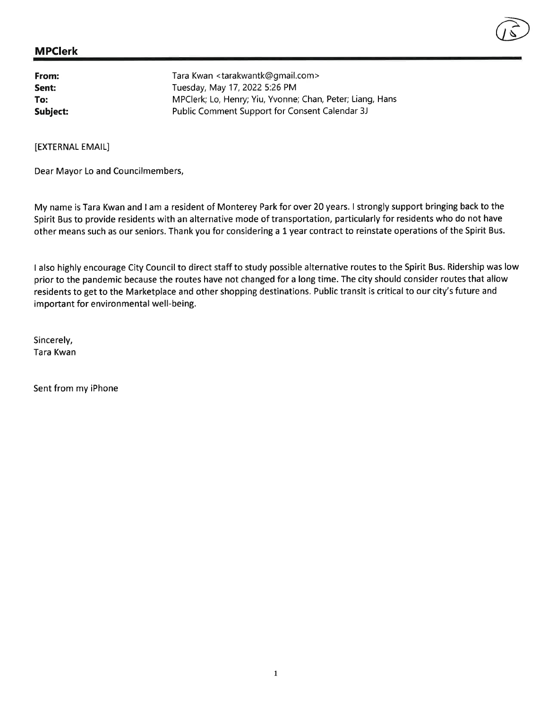

From: Sent: To: Subiect: Tara Kwan <tarakwantk@gmail.com > Tuesday, May 17,2022 5:26 PM MPClerk; Lo, Henry; Yiu, Yvonne; Chan, Peter; Liang, Hans Public Comment Support for Consent Calendar 3J

[EXTERNAL EMAIL]

Dear Mayor Lo and Councilmembers,

My name is Tara Kwan and I am a resident of Monterey Park for over 20 years. I strongly support bringing back to the Spirit Bus to provide residents with an alternative mode of transportation, particularly for residents who do not have other means such as our seniors. Thank you for considering a 1 year contract to reinstate operations of the Spirit Bus.

<sup>I</sup>also highly encourage City Council to direct staff to study possible alternative routes to the Spirit Bus. Ridership was low prior to the pandemic because the routes have not changed for a long time. The city should consider routes that allow residents to get to the Marketplace and other shopping destinations. Public transit is critical to our city's future and important for environmental well-being.

Sincerely, Tara Kwan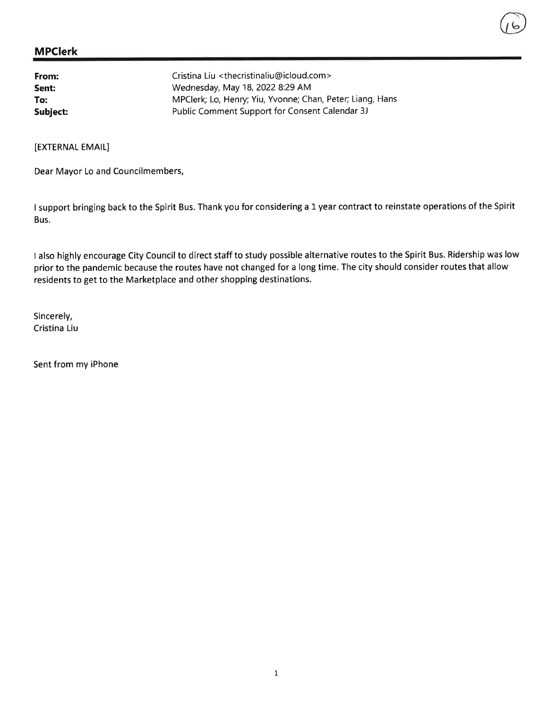| From:    | Cristina Liu <thecristinaliu@icloud.com></thecristinaliu@icloud.com> |
|----------|----------------------------------------------------------------------|
| Sent:    | Wednesday, May 18, 2022 8:29 AM                                      |
| To:      | MPClerk; Lo, Henry; Yiu, Yvonne; Chan, Peter; Liang, Hans            |
| Subject: | Public Comment Support for Consent Calendar 3J                       |

[EXTERNAL EMAIL]

Dear Mayor Lo and Councilmembers,

<sup>I</sup>support bringing back to the Spirit Bus. Thank you for considering a 1 year contract to reinstate operations of the Spirit Bus.

<sup>I</sup>also highly encourage City Council to direct staff to study possible alternative routes to the Spirit Bus. Ridership was low prior to the pandemic because the routes have not changed for a long time. The city should consider routes that allow residents to get to the Marketplace and other shopping destinations.

Sincerely, Cristina Liu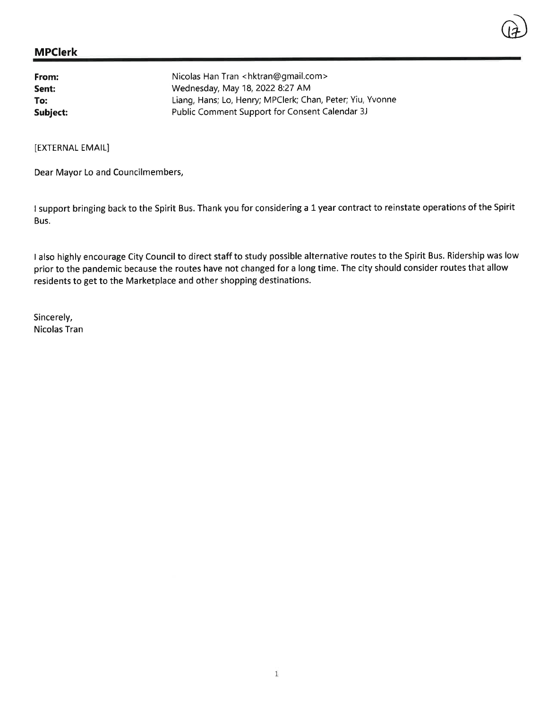#### MPclerk

| From:    | Nicolas Han Tran <hktran@gmail.com></hktran@gmail.com>    |
|----------|-----------------------------------------------------------|
| Sent:    | Wednesday, May 18, 2022 8:27 AM                           |
| To:      | Liang, Hans; Lo, Henry; MPClerk; Chan, Peter; Yiu, Yvonne |
| Subject: | Public Comment Support for Consent Calendar 3J            |

[EXTERNAL EMAIL]

Dear Mayor Lo and Councilmembers,

I support bringing back to the Spirit Bus. Thank you for considering a 1 year contract to reinstate operations of the Spirit Bus.

 $\bigcirc$ 

<sup>I</sup>also highly encourage City Council to direct staff to study possible alternative routes to the Spirit Bus. Ridership was low prior to the pandemic because the routes have not changed for a long time. The city should consider routes that allow residents to get to the Marketplace and other shopping destinations.

Sincerely, Nicolas Tran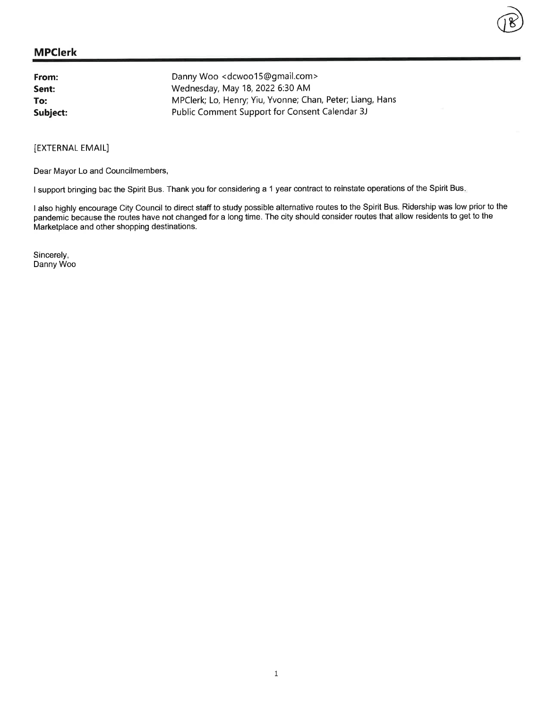| From:    | Danny Woo <dcwoo15@gmail.com></dcwoo15@gmail.com>         |
|----------|-----------------------------------------------------------|
| Sent:    | Wednesday, May 18, 2022 6:30 AM                           |
| To:      | MPClerk; Lo, Henry; Yiu, Yvonne; Chan, Peter; Liang, Hans |
| Subject: | Public Comment Support for Consent Calendar 3J            |

[EXTERNAL EMAIL]

Dear Mayor Lo and Councilmembers,

I support bringing bac the Spirit Bus. Thank you for considering a 1 year contract to reinstate operations of the Spirit Bus.

<sup>I</sup>also highly encourage City Council to direct staff to study possible alternative routes to the Spirit Bus. Ridership was low prior to the pandemic because the routes have not changed for a long time. The city should consider routes that allow residents to get to the Marketplace and other shopping destinations.

 $\bigcirc\!\!\!\!\!\! \mathscr{B} \big)$ 

Sincerely, Danny Woo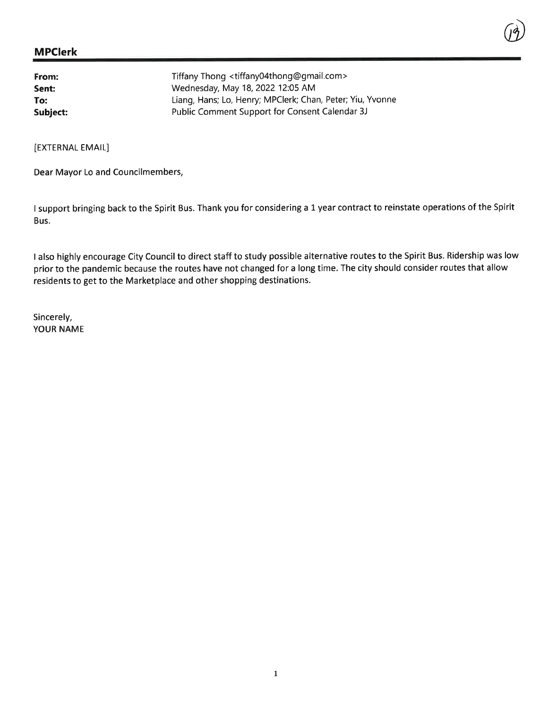| From:    | Tiffany Thong <tiffany04thong@gmail.com></tiffany04thong@gmail.com> |
|----------|---------------------------------------------------------------------|
| Sent:    | Wednesday, May 18, 2022 12:05 AM                                    |
| To:      | Liang, Hans; Lo, Henry; MPClerk; Chan, Peter; Yiu, Yvonne           |
| Subject: | Public Comment Support for Consent Calendar 3J                      |

[EXTERNAL EMAIL]

Dear Mayor Lo and Councilmembers,

<sup>I</sup>support bringing back to the Spirit Bus. Thank you for considering a 1 year contract to reinstate operations of the Spirit Bus.

 $\cup \mathcal{Y}$ 

<sup>I</sup>also highly encourage City Council to direct staff to study possible alternative routes to the Spirit Bus. Ridership was low prior to the pandemic because the routes have not changed for a long time. The city should consider routes that allow residents to get to the Marketplace and other shopping destinations.

Sincerely, YOUR NAME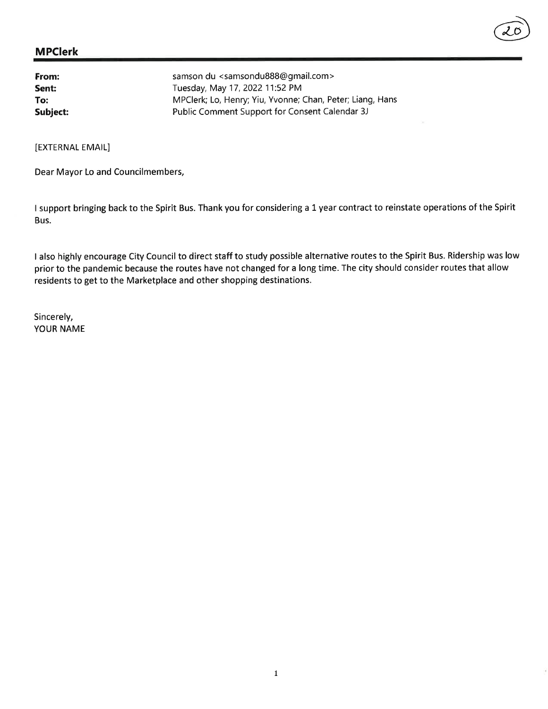| From:    | samson du <samsondu888@gmail.com></samsondu888@gmail.com> |
|----------|-----------------------------------------------------------|
| Sent:    | Tuesday, May 17, 2022 11:52 PM                            |
| To:      | MPClerk; Lo, Henry; Yiu, Yvonne; Chan, Peter; Liang, Hans |
| Subject: | Public Comment Support for Consent Calendar 3J            |

[EXTERNAL EMAIL]

Dear Mayor Lo and Councilmembers,

<sup>I</sup>support bringing back to the Spirit Bus. Thank you for considering a 1 year contract to reinstate operations of the Spirit Bus.

 $\bigodot$ 

I also highly encourage City Council to direct staff to study possible alternative routes to the Spirit Bus. Ridership was low prior to the pandemic because the routes have not changed for a long time. The city should consider routes that allow residents to get to the Marketplace and other shopping destinations.

Sincerely, YOUR NAME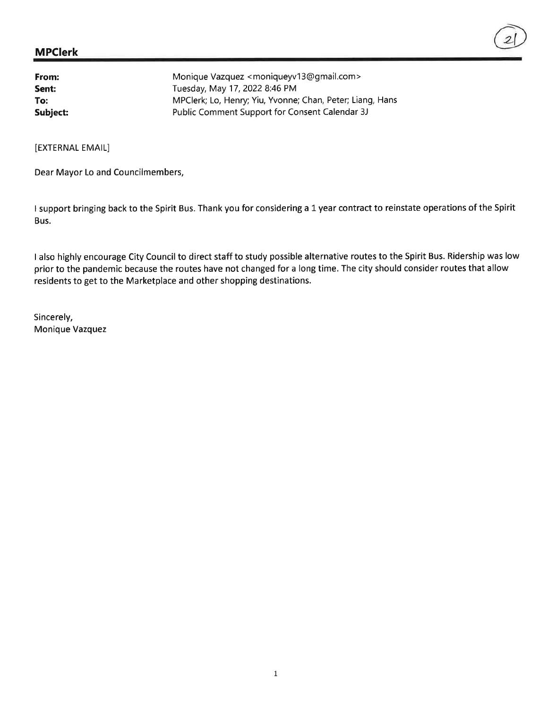| From:    | Monique Vazquez <moniqueyv13@gmail.com></moniqueyv13@gmail.com> |
|----------|-----------------------------------------------------------------|
| Sent:    | Tuesday, May 17, 2022 8:46 PM                                   |
| To:      | MPClerk; Lo, Henry; Yiu, Yvonne; Chan, Peter; Liang, Hans       |
| Subject: | Public Comment Support for Consent Calendar 3J                  |

[EXTERNAL EMAIL]

Dear Mayor Lo and Councilmembers,

<sup>I</sup>support bringing back to the Spirit Bus. Thank you for considering a 1 year contract to reinstate operations of the Spirit Bus.

<sup>I</sup>also highly encourage City Council to direct staff to study possible alternative routes to the Spirit Bus. Ridership was low prior to the pandemic because the routes have not changed for a long time. The city should consider routes that allow residents to get to the Marketplace and other shopping destinations.

Sincerely, Monique Vazquez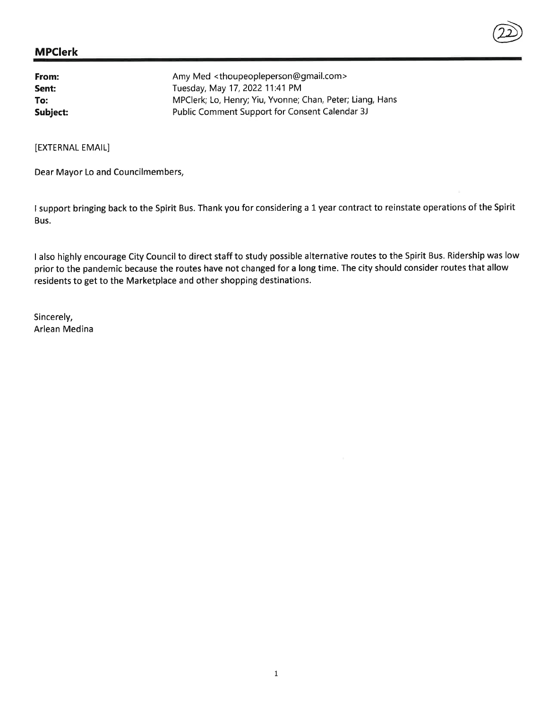| From:    | Amy Med <thoupeopleperson@gmail.com></thoupeopleperson@gmail.com> |
|----------|-------------------------------------------------------------------|
| Sent:    | Tuesday, May 17, 2022 11:41 PM                                    |
| To:      | MPClerk; Lo, Henry; Yiu, Yvonne; Chan, Peter; Liang, Hans         |
| Subject: | Public Comment Support for Consent Calendar 3J                    |

[EXTERNAL EMAIL]

Dear Mayor Lo and Councilmembers,

<sup>I</sup>support bringing back to the Spirit Bus. Thank you for considering a 1 year contract to reinstate operations of the Spirit Bus.

 $\circled{2}$ 

I also highly encourage City Council to direct staff to study possible alternative routes to the Spirit Bus. Ridership was low prior to the pandemic because the routes have not changed for a long time. The city should consider routes that allow residents to get to the Marketplace and other shopping destinations.

Sincerely, Arlean Medina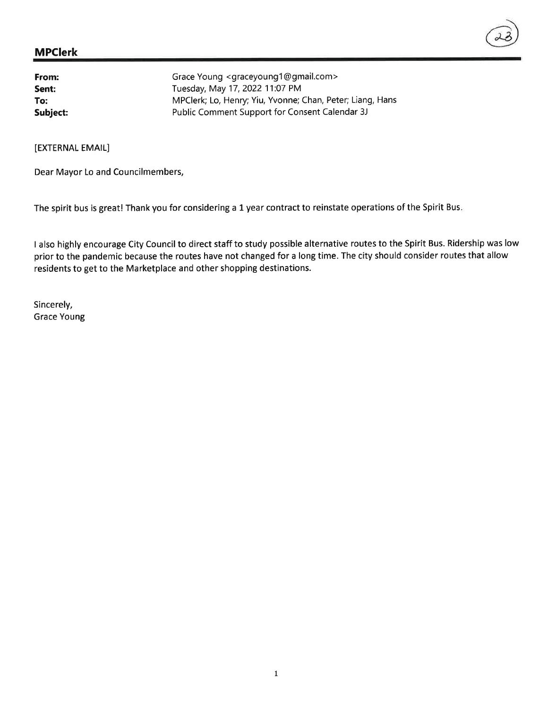| Grace Young <graceyoung1@gmail.com></graceyoung1@gmail.com> |
|-------------------------------------------------------------|
| Tuesday, May 17, 2022 11:07 PM                              |
| MPClerk; Lo, Henry; Yiu, Yvonne; Chan, Peter; Liang, Hans   |
| Public Comment Support for Consent Calendar 3J              |
|                                                             |

[EXTERNAL EMAIL]

Dear Mayor Lo and Councilmembers,

The spirit bus is great! Thank you for considering a 1 year contract to reinstate operations of the Spirit Bus.

I also highly encourage City Council to direct staff to study possible alternative routes to the Spirit Bus. Ridership was low prior to the pandemic because the routes have not changed for a long time. The city should consider routes that allow residents to get to the Marketplace and other shopping destinations.

Sincerely, Grace Young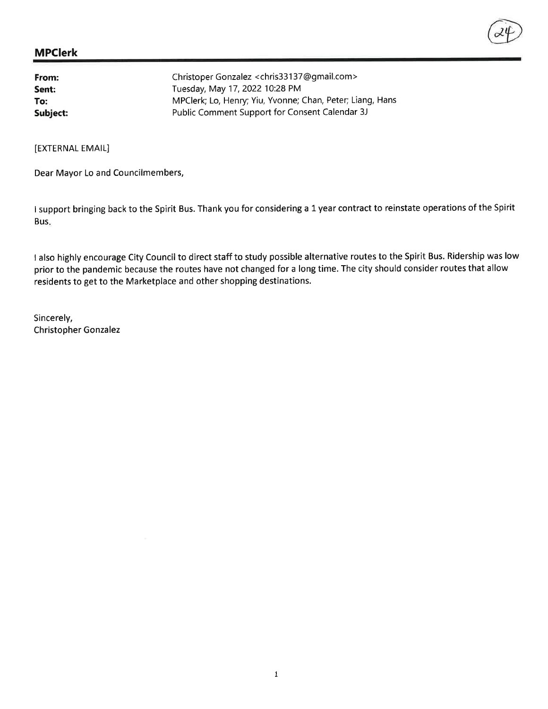| From:    | Christoper Gonzalez <chris33137@gmail.com></chris33137@gmail.com> |
|----------|-------------------------------------------------------------------|
| Sent:    | Tuesday, May 17, 2022 10:28 PM                                    |
| To:      | MPClerk; Lo, Henry; Yiu, Yvonne; Chan, Peter; Liang, Hans         |
| Subject: | Public Comment Support for Consent Calendar 3J                    |

[EXTERNAL EMAIL]

Dear Mayor Lo and Councilmembers,

<sup>I</sup>support bringing back to the Spirit Bus. Thank you for considering a 1 year contract to reinstate operations of the Spirit Bus

I also highly encourage City Council to direct staff to study possible alternative routes to the Spirit Bus. Ridership was low prior to the pandemic because the routes have not changed for a long time. The city should consider routes that allow residents to get to the Marketplace and other shopping destinations.

Sincerely, Christopher Gonzalez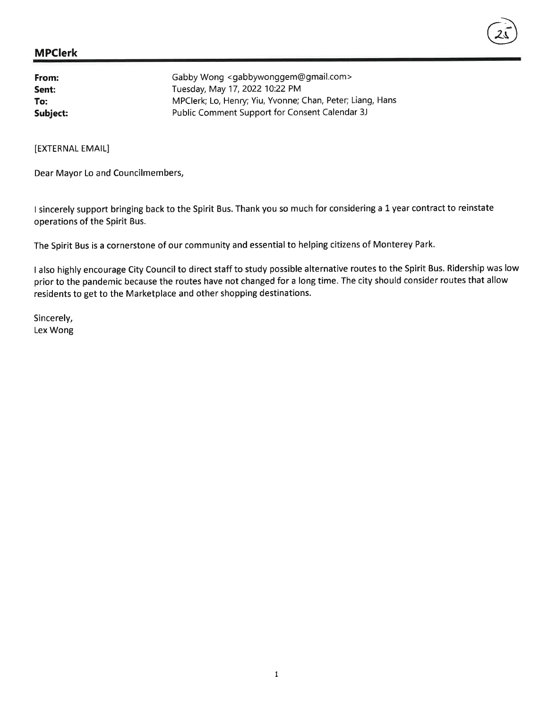#### MPclerk

| From:    | Gabby Wong <gabbywonggem@gmail.com></gabbywonggem@gmail.com> |
|----------|--------------------------------------------------------------|
| Sent:    | Tuesday, May 17, 2022 10:22 PM                               |
| To:      | MPClerk; Lo, Henry; Yiu, Yvonne; Chan, Peter; Liang, Hans    |
| Subject: | Public Comment Support for Consent Calendar 3J               |

[EXTERNAL EMAIL]

Dear Mayor Lo and Councilmembers,

<sup>I</sup>sincerely support bringing back to the Spirit Bus. Thank you so much for considering a 1 year contract to reinstate operations of the Spirit Bus.

 $(25)$ 

The Spirit Bus is a cornerstone of our community and essential to helping citizens of Monterey Park.

<sup>I</sup>also highly encourage City Council to direct staff to study possible alternative routes to the Spirit Bus. Ridership was low prior to the pandemic because the routes have not changed for a long time. The city should consider routes that allow residents to get to the Marketplace and other shopping destinations.

Sincerely, Lex Wong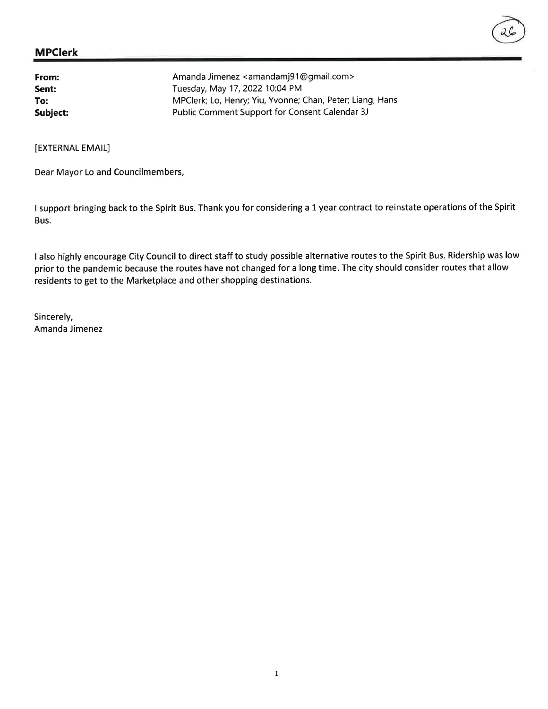| From:    | Amanda Jimenez <amandamj91@gmail.com></amandamj91@gmail.com> |
|----------|--------------------------------------------------------------|
| Sent:    | Tuesday, May 17, 2022 10:04 PM                               |
| To:      | MPClerk; Lo, Henry; Yiu, Yvonne; Chan, Peter; Liang, Hans    |
| Subject: | Public Comment Support for Consent Calendar 3J               |

[EXTERNAL EMAIL]

Dear Mayor Lo and Councilmembers,

<sup>I</sup>support bringing back to the Spirit Bus. Thank you for considering a 1 year contract to reinstate operations of the Spirit Bus.

<sup>I</sup>also highly encourage City Council to direct staff to study possible alternative routes to the Spirit Bus. Ridership was low prior to the pandemic because the routes have not changed for a long time. The city should consider routes that allow residents to get to the Marketplace and other shopping destinations.

Sincerely, Amanda Jimenez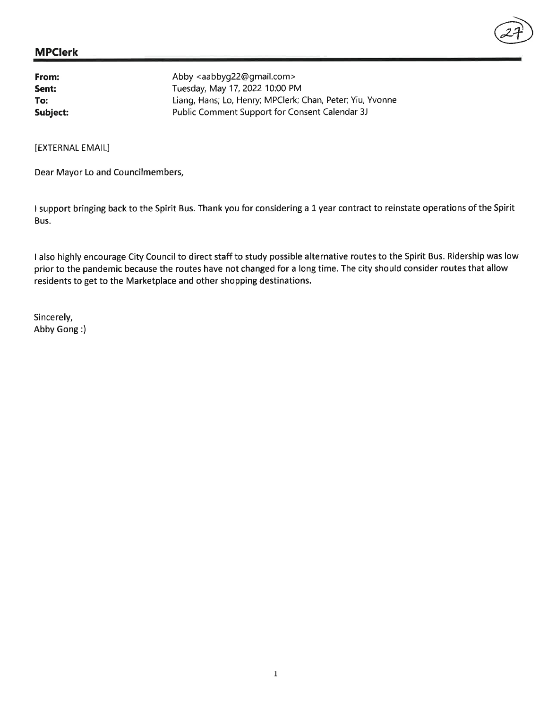| From:    | Abby <aabbyg22@gmail.com></aabbyg22@gmail.com>            |
|----------|-----------------------------------------------------------|
| Sent:    | Tuesday, May 17, 2022 10:00 PM                            |
| To:      | Liang, Hans; Lo, Henry; MPClerk; Chan, Peter; Yiu, Yvonne |
| Subject: | Public Comment Support for Consent Calendar 3J            |

[EXTERNAL EMAIL]

Dear Mayor Lo and Councilmembers,

<sup>I</sup>support bringing back to the Spirit Bus. Thank you for considering a 1 year contract to reinstate operations of the Spirit Bus.

@

I also highly encourage City Council to direct staff to study possible alternative routes to the Spirit Bus. Ridership was low prior to the pandemic because the routes have not changed for a long time. The city should consider routes that allow residents to get to the Marketplace and other shopping destinations.

Sincerely, Abby Gong :)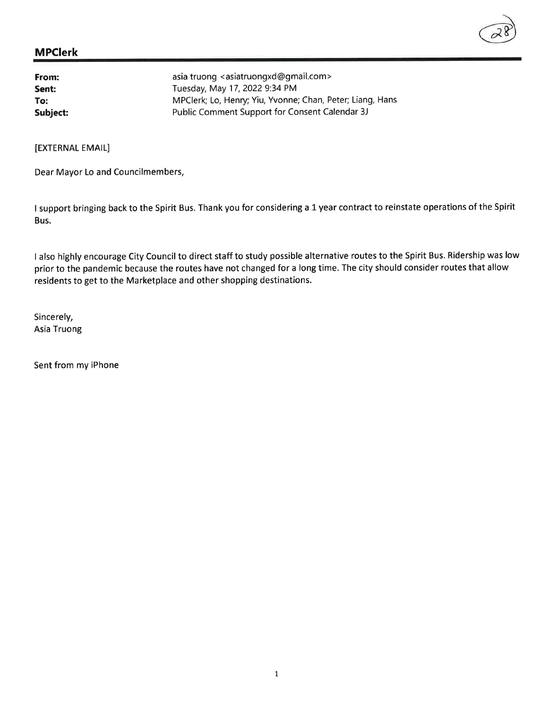| From:    | asia truong <asiatruongxd@gmail.com></asiatruongxd@gmail.com> |
|----------|---------------------------------------------------------------|
| Sent:    | Tuesday, May 17, 2022 9:34 PM                                 |
| To:      | MPClerk; Lo, Henry; Yiu, Yvonne; Chan, Peter; Liang, Hans     |
| Subject: | Public Comment Support for Consent Calendar 3J                |

[EXTERNAL EMAIL]

Dear Mayor Lo and Councilmembers,

I support bringing back to the Spirit Bus. Thank you for considering a 1 year contract to reinstate operations of the Spirit Bus.

<sup>I</sup>also highly encourage City Council to direct staff to study possible alternative routes to the Spirit Bus. Ridership was low prior to the pandemic because the routes have not changed for a long time. The city should consider routes that allow residents to get to the Marketplace and other shopping destinations.

Sincerely, Asia Truong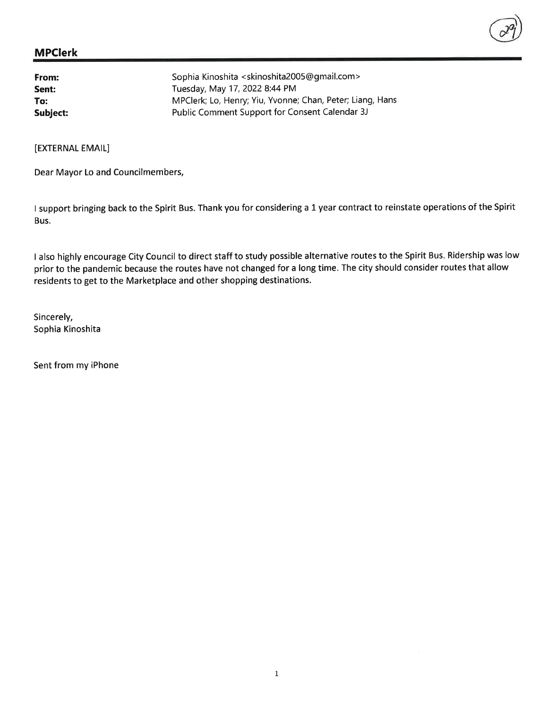| From:    | Sophia Kinoshita <skinoshita2005@gmail.com></skinoshita2005@gmail.com> |
|----------|------------------------------------------------------------------------|
| Sent:    | Tuesday, May 17, 2022 8:44 PM                                          |
| To:      | MPClerk; Lo, Henry; Yiu, Yvonne; Chan, Peter; Liang, Hans              |
| Subject: | Public Comment Support for Consent Calendar 3J                         |

[EXTERNAL EMAIL]

Dear Mayor Lo and Councilmembers,

<sup>I</sup>support bringing back to the Spirit Bus. Thank you for considering a L year contract to reinstate operations of the Spirit Bus.

I also highly encourage City Council to direct staff to study possible alternative routes to the Spirit Bus. Ridership was low prior to the pandemic because the routes have not changed for a long time. The city should consider routes that allow residents to get to the Marketplace and other shopping destinations.

Sincerely, Sophia Kinoshita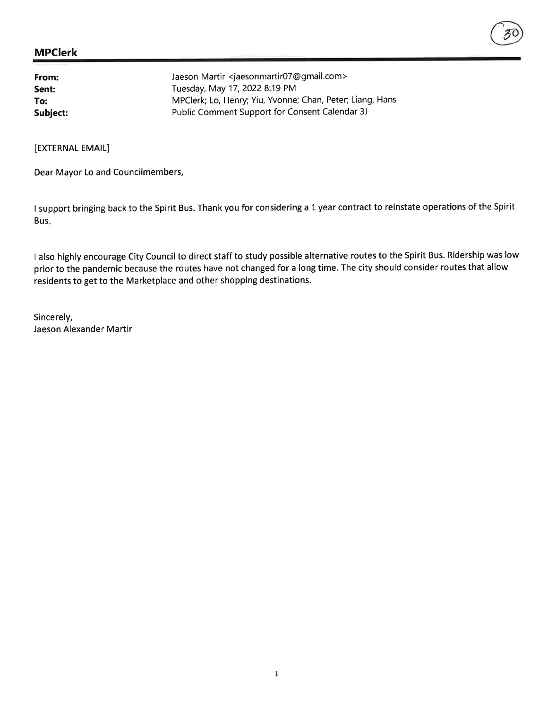| From:    | Jaeson Martir <jaesonmartir07@gmail.com></jaesonmartir07@gmail.com> |
|----------|---------------------------------------------------------------------|
| Sent:    | Tuesday, May 17, 2022 8:19 PM                                       |
| To:      | MPClerk; Lo, Henry; Yiu, Yvonne; Chan, Peter; Liang, Hans           |
| Subject: | Public Comment Support for Consent Calendar 3J                      |

[EXTERNAL EMAIL]

Dear Mayor Lo and Councilmembers,

<sup>I</sup>support bringing back to the Spirit Bus. Thank you for considering a 1 year contract to reinstate operations of the Spirit Bus

<sup>I</sup>also highly encourage City Council to direct staff to study possible alternative routes to the Spirit Bus. Ridership was low prior to the pandemic because the routes have not changed for a long time. The city should consider routes that allow residents to get to the Marketplace and other shopping destinations.

Sincerely, Jaeson Alexander Martir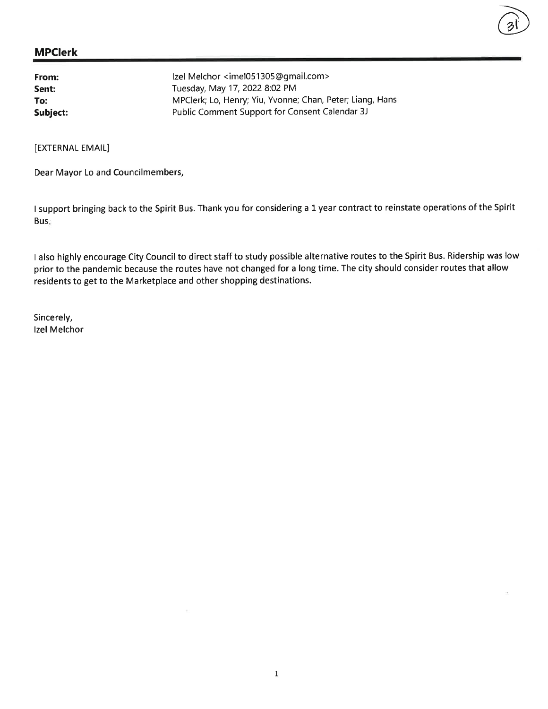| From:    | Izel Melchor <imel051305@gmail.com></imel051305@gmail.com> |
|----------|------------------------------------------------------------|
| Sent:    | Tuesday, May 17, 2022 8:02 PM                              |
| To:      | MPClerk; Lo, Henry; Yiu, Yvonne; Chan, Peter; Liang, Hans  |
| Subject: | Public Comment Support for Consent Calendar 3J             |

[EXTERNAL EMAIL]

Dear Mayor Lo and Councilmembers,

<sup>I</sup>support bringing back to the Spirit Bus. Thank you for considering a 1 year contract to reinstate operations of the Spirit Bus

a)

<sup>I</sup>also highly encourage City Council to direct staff to study possible alternative routes to the Spirit Bus. Ridership was low prior to the pandemic because the routes have not changed for a long time. The city should consider routes that allow residents to get to the Marketplace and other shopping destinations.

Sincerely, lzel Melchor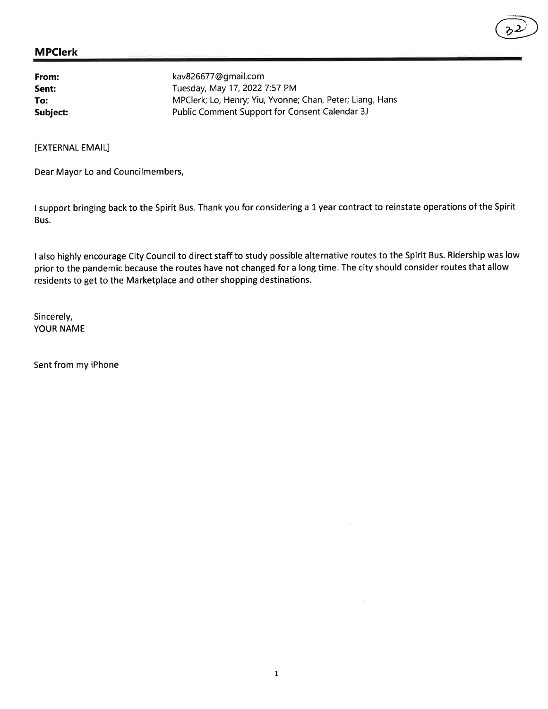| From:    | kav826677@gmail.com                                       |
|----------|-----------------------------------------------------------|
| Sent:    | Tuesday, May 17, 2022 7:57 PM                             |
| To:      | MPClerk; Lo, Henry; Yiu, Yvonne; Chan, Peter; Liang, Hans |
| Subject: | Public Comment Support for Consent Calendar 3J            |

[EXTERNAL EMAIL]

Dear Mayor Lo and Councilmembers,

<sup>I</sup>support bringing back to the Spirit Bus. Thank you for considering a 1 year contract to reinstate operations of the Spirit Bus.

 $\circled{2}$ 

<sup>I</sup>also highly encourage City Council to direct staff to study possible alternative routes to the Spirit Bus. Ridership was low prior to the pandemic because the routes have not changed for a long time. The city should consider routes that allow residents to get to the Marketplace and other shopping destinations.

Sincerely, YOUR NAME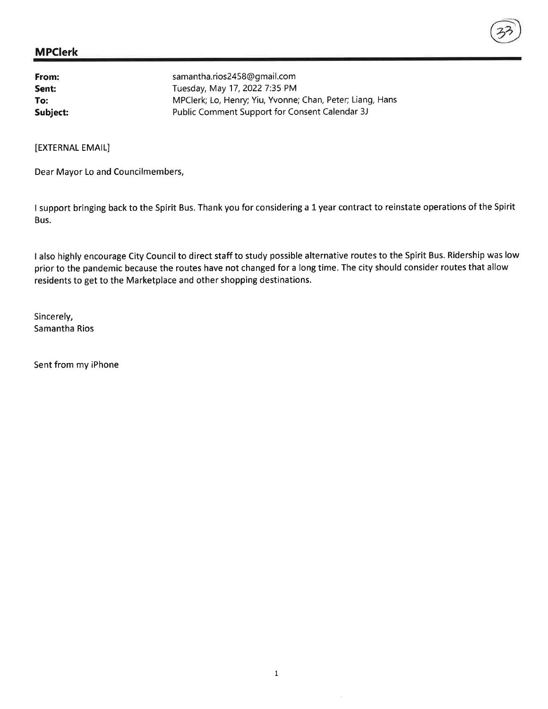| From:    | samantha.rios2458@gmail.com                               |
|----------|-----------------------------------------------------------|
| Sent:    | Tuesday, May 17, 2022 7:35 PM                             |
| To:      | MPClerk; Lo, Henry; Yiu, Yvonne; Chan, Peter; Liang, Hans |
| Subject: | Public Comment Support for Consent Calendar 3J            |

[EXTERNAL EMAIL]

Dear Mayor Lo and Councilmembers,

<sup>I</sup>support bringing back to the Spirit Bus. Thank you for considering a 1 year contract to reinstate operations of the Spirit Bus.

<sup>I</sup>also highly encourage City Council to direct staff to study possible alternative routes to the Spirit Bus. Ridership was low prior to the pandemic because the routes have not changed for a long time. The city should consider routes that allow residents to get to the Marketplace and other shopping destinations.

Sincerely, Samantha Rios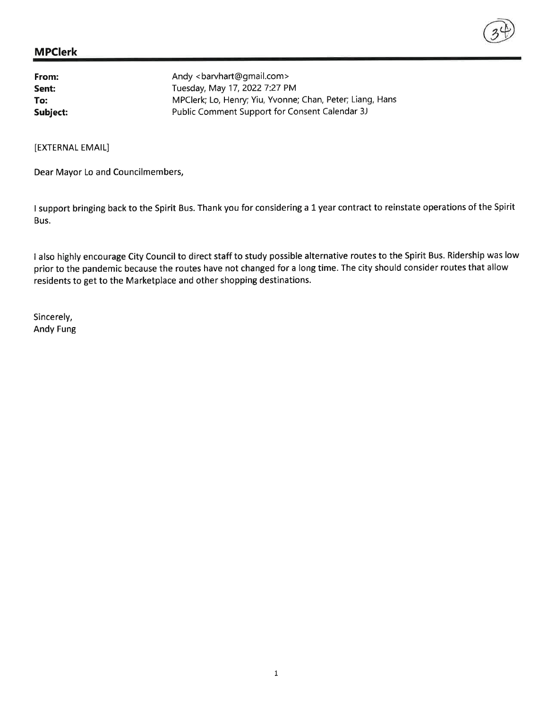

From: Sent: To: Andy < barvhart@gmail.com > Tuesday, May 17,20227:27 PM MPClerk; Lo, Henry; Yiu, Yvonne; Chan, Peter; Liang, Hans Subject: Public Comment Support for Consent Calendar 3J

[EXTERNAL EMAIL]

Dear Mayor Lo and Councilmembers,

<sup>I</sup>support bringing back to the Spirit Bus. Thank you for considering a L year contract to reinstate operations of the Spirit Bus.

I also highly encourage City Council to direct staff to study possible alternative routes to the Spirit Bus. Ridership was low prior to the pandemic because the routes have not changed for a long time. The city should consider routes that allow residents to get to the Marketplace and other shopping destinations.

Sincerely, Andy Fung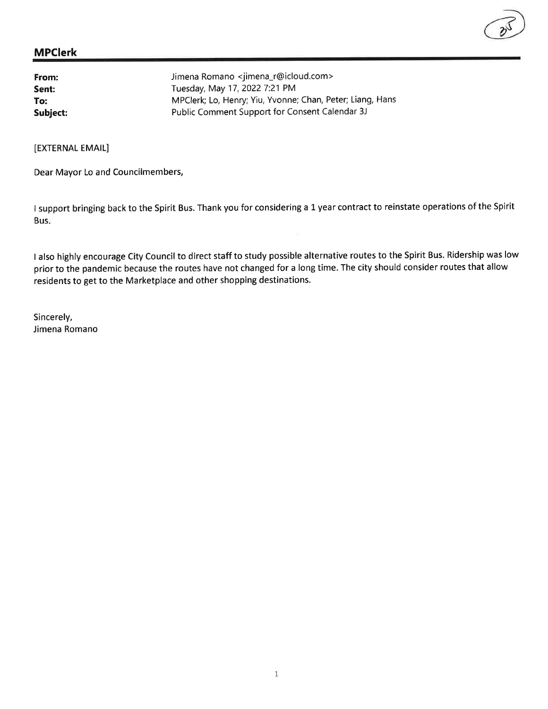| From:    | Jimena Romano <jimena_r@icloud.com></jimena_r@icloud.com> |
|----------|-----------------------------------------------------------|
| Sent:    | Tuesday, May 17, 2022 7:21 PM                             |
| To:      | MPClerk; Lo, Henry; Yiu, Yvonne; Chan, Peter; Liang, Hans |
| Subject: | Public Comment Support for Consent Calendar 3J            |

[EXTERNAL EMAIL]

Dear Mayor Lo and Councilmembers,

<sup>I</sup>support bringing back to the Spirit Bus. Thank you for considering a L year contract to reinstate operations of the Spirit Bus

<sup>I</sup>also highly encourage City Council to direct staff to study possible alternative routes to the Spirit Bus. Ridership was low prior to the pandemic because the routes have not changed for a long time. The city should consider routes that allow residents to get to the Marketplace and other shopping destinations.

Sincerely, Jimena Romano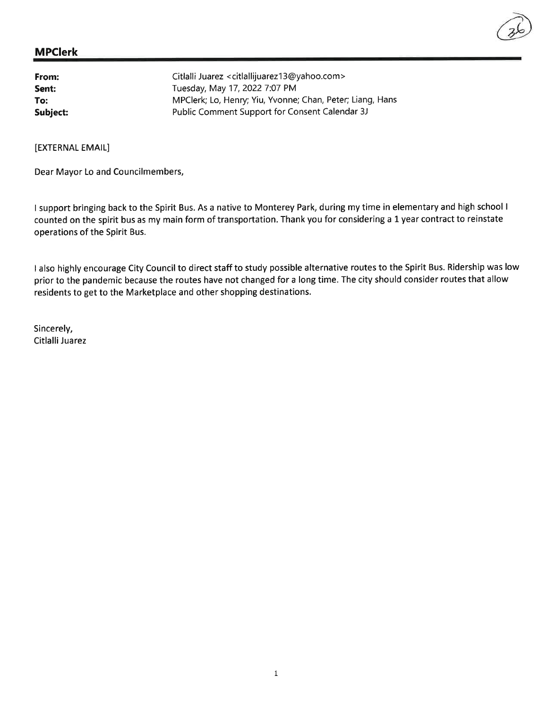| From:    | Citlalli Juarez <citlallijuarez13@yahoo.com></citlallijuarez13@yahoo.com> |
|----------|---------------------------------------------------------------------------|
| Sent:    | Tuesday, May 17, 2022 7:07 PM                                             |
| To:      | MPClerk; Lo, Henry; Yiu, Yvonne; Chan, Peter; Liang, Hans                 |
| Subject: | Public Comment Support for Consent Calendar 3J                            |

[EXTERNAL EMAIL]

Dear Mayor Lo and Councilmembers,

<sup>I</sup>support bringing back to the Spirit Bus. As a native to Monterey Park, during my time in elementary and high school <sup>I</sup> counted on the spirit bus as my main form of transportation. Thank you for considering a 1 year contract to reinstate operations of the Spirit Bus.

<sup>I</sup>also highly encourage City Council to direct staff to study possible alternative routes to the Spirit Bus. Ridership was low prior to the pandemic because the routes have not changed for a long time. The city should consider routes that allow residents to get to the Marketplace and other shopping destinations.

Sincerely, Citlalli Juarez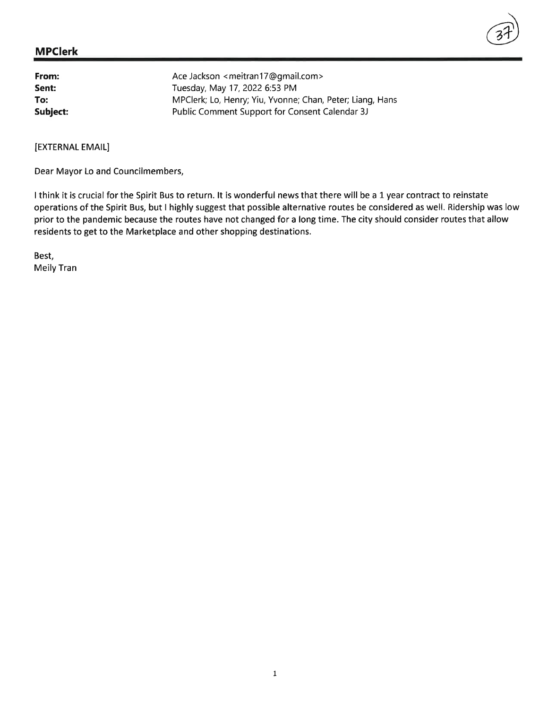| From:    | Ace Jackson <meitran17@gmail.com></meitran17@gmail.com>   |
|----------|-----------------------------------------------------------|
| Sent:    | Tuesday, May 17, 2022 6:53 PM                             |
| To:      | MPClerk; Lo, Henry; Yiu, Yvonne; Chan, Peter; Liang, Hans |
| Subject: | Public Comment Support for Consent Calendar 3J            |

[EXTERNAL EMAIL]

Dear Mayor Lo and Councilmembers,

I think it is crucial for the Spirit Bus to return. It is wonderful news that there will be a 1 year contract to reinstate operations of the Spirit Bus, but I highly suggest that possible alternative routes be considered as well. Ridership was low prior to the pandemic because the routes have not changed for a long time. The city should consider routes that allow residents to get to the Marketplace and other shopping destinations.

37)

Best, Meily Tran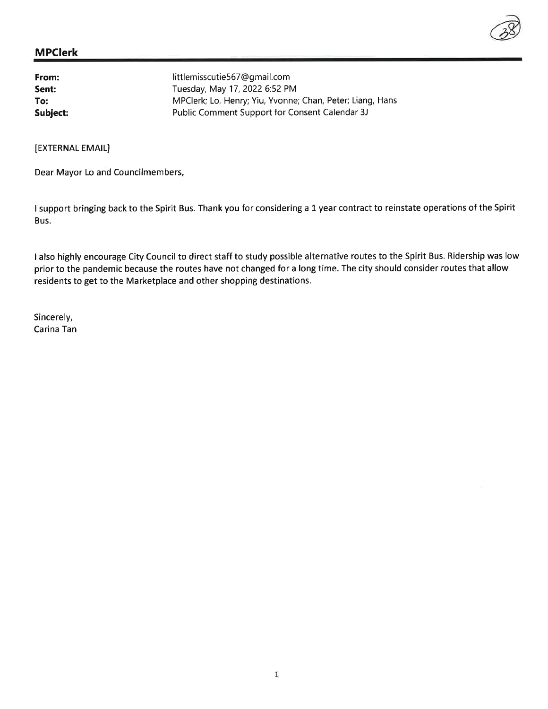| From:    | littlemisscutie567@qmail.com                              |
|----------|-----------------------------------------------------------|
| Sent:    | Tuesday, May 17, 2022 6:52 PM                             |
| To:      | MPClerk; Lo, Henry; Yiu, Yvonne; Chan, Peter; Liang, Hans |
| Subject: | Public Comment Support for Consent Calendar 3J            |

[EXTERNAL EMAIL]

Dear Mayor Lo and Councilmembers,

<sup>I</sup>support bringing back to the Spirit Bus. Thank you for considering a 1 year contract to reinstate operations of the Spirit Bus.

I also highly encourage City Council to direct staff to study possible alternative routes to the Spirit Bus. Ridership was low prior to the pandemic because the routes have not changed for a long time. The city should consider routes that allow residents to get to the Marketplace and other shopping destinations.

Sincerely, Carina Tan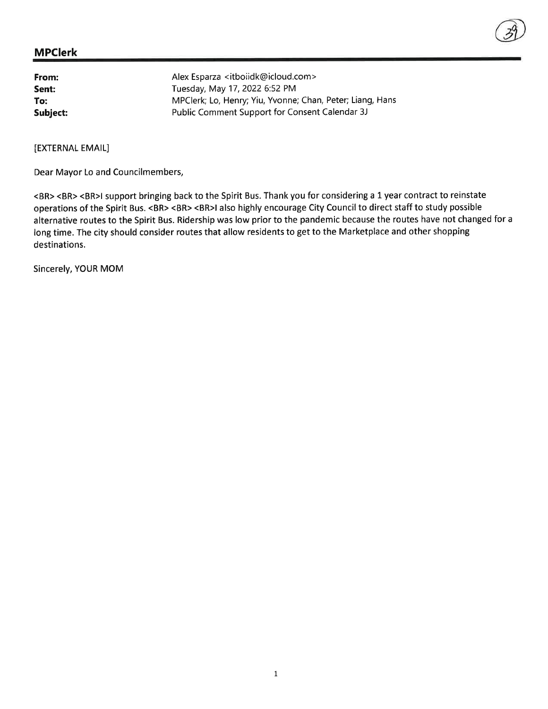| From:    | Alex Esparza <itboiidk@icloud.com></itboiidk@icloud.com>  |
|----------|-----------------------------------------------------------|
| Sent:    | Tuesday, May 17, 2022 6:52 PM                             |
| To:      | MPClerk; Lo, Henry; Yiu, Yvonne; Chan, Peter; Liang, Hans |
| Subject: | Public Comment Support for Consent Calendar 3J            |

[EXTERNAL EMAIL]

Dear Mayor Lo and Councilmembers,

<BR> <BR> <BR>l support bringing back to the Spirit Bus. Thank you for considering a L year contract to reinstate operations of the Spirit Bus. <BR> <BR> <BR>l also highly encourage City Council to direct staff to study possible alternative routes to the Spirit Bus. Ridership was low prior to the pandemic because the routes have not changed for <sup>a</sup> long time. The city should consider routes that allow residents to get to the Marketplace and other shopping destinations.

Sincerely, YOUR MOM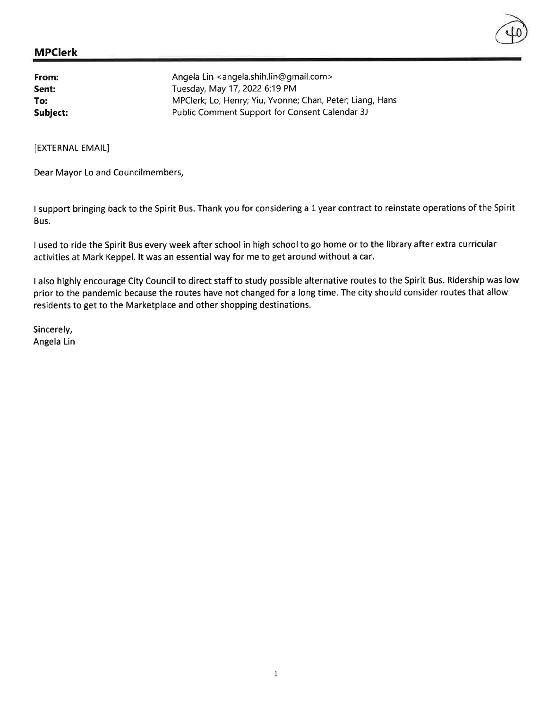| From:    | Angela Lin <angela.shih.lin@gmail.com></angela.shih.lin@gmail.com> |
|----------|--------------------------------------------------------------------|
| Sent:    | Tuesday, May 17, 2022 6:19 PM                                      |
| To:      | MPClerk; Lo, Henry; Yiu, Yvonne; Chan, Peter; Liang, Hans          |
| Subject: | Public Comment Support for Consent Calendar 3J                     |

[EXTERNAL EMAIL]

Dear Mayor Lo and Councilmembers,

I support bringing back to the Spirit Bus. Thank you for considering a 1 year contract to reinstate operations of the Spirit Bus.

I used to ride the Spirit Bus every week after school in high school to go home or to the library after extra curricular activities at Mark Keppel. lt was an essential way for me to get around without a car.

<sup>I</sup>also highly encourage City Council to direct staff to study possible alternative routes to the Spirit Bus. Ridership was low prior to the pandemic because the routes have not changed for a long time. The city should consider routes that allow residents to get to the Marketplace and other shopping destinations.

Sincerely, Angela Lin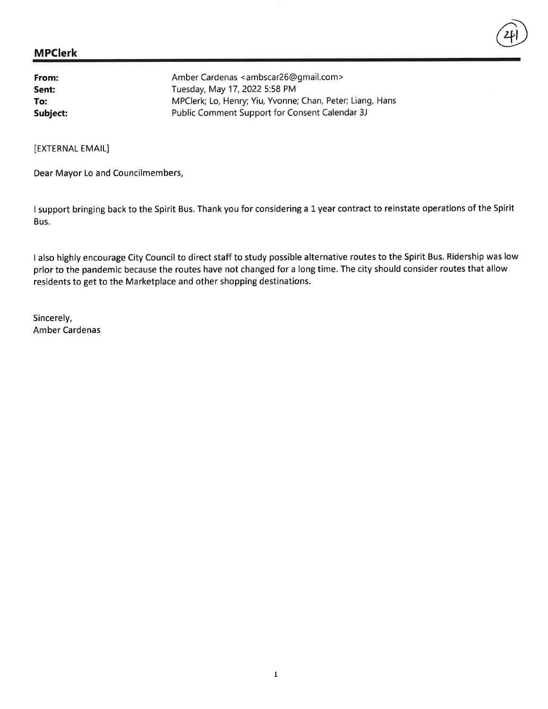| From:    | Amber Cardenas <ambscar26@gmail.com></ambscar26@gmail.com> |
|----------|------------------------------------------------------------|
| Sent:    | Tuesday, May 17, 2022 5:58 PM                              |
| To:      | MPClerk; Lo, Henry; Yiu, Yvonne; Chan, Peter; Liang, Hans  |
| Subject: | Public Comment Support for Consent Calendar 3J             |

[EXTERNAL EMAIL]

Dear Mayor Lo and Councilmembers,

I support bringing back to the Spirit Bus. Thank you for considering a 1 year contract to reinstate operations of the Spirit Bus.

 $\circled{4}$ 

<sup>I</sup>also highly encourage City Council to direct staff to study possible alternative routes to the Spirit Bus. Ridership was low prior to the pandemic because the routes have not changed for a long time. The city should consider routes that allow residents to get to the Marketplace and other shopping destinations.

Sincerely, Amber Cardenas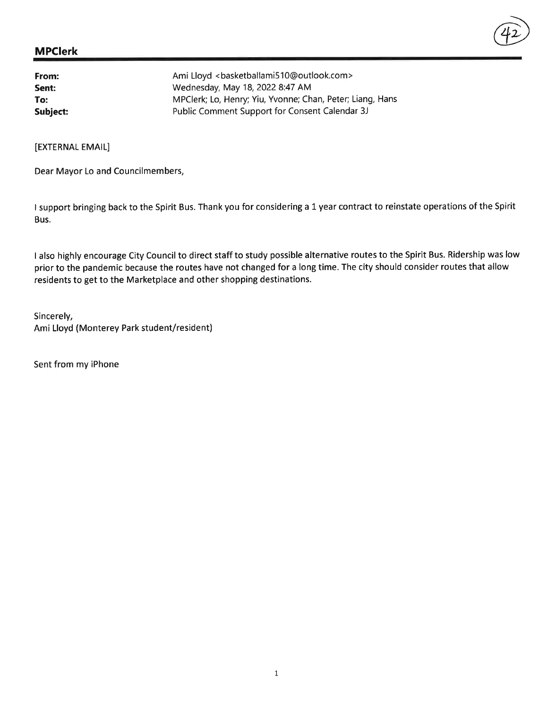# MPClerk  $\overline{(42)}$

| From:    | Ami Lloyd<br><br>sketballami510@outlook.com>              |
|----------|-----------------------------------------------------------|
| Sent:    | Wednesday, May 18, 2022 8:47 AM                           |
| To:      | MPClerk; Lo, Henry; Yiu, Yvonne; Chan, Peter; Liang, Hans |
| Subject: | Public Comment Support for Consent Calendar 3J            |

[EXTERNAL EMAIL]

Dear Mayor Lo and Councilmembers,

<sup>I</sup>support bringing back to the Spirit Bus. Thank you for considering a 1 year contract to reinstate operations of the Spirit Bus.

I also highly encourage City Council to direct staff to study possible alternative routes to the Spirit Bus. Ridership was low prior to the pandemic because the routes have not changed for a long time. The city should consider routes that allow residents to get to the Marketplace and other shopping destinations.

Sincerely, Ami Lloyd (Monterey Park student/resident)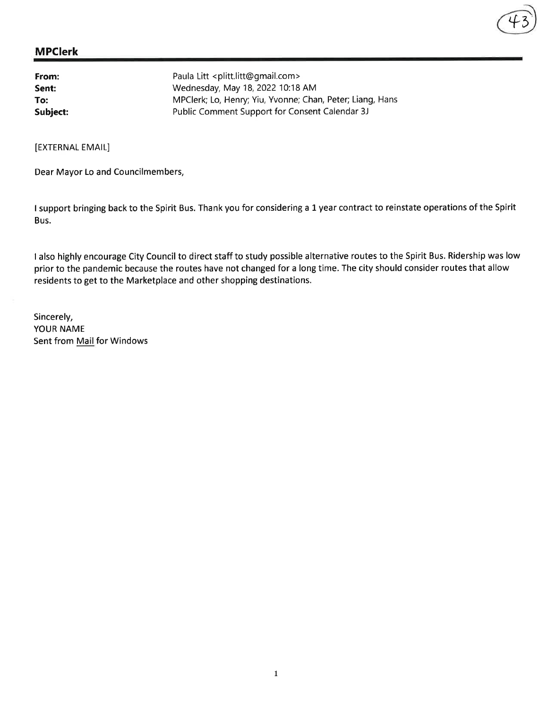| From:    | Paula Litt <plitt.litt@gmail.com></plitt.litt@gmail.com>  |
|----------|-----------------------------------------------------------|
| Sent:    | Wednesday, May 18, 2022 10:18 AM                          |
| To:      | MPClerk; Lo, Henry; Yiu, Yvonne; Chan, Peter; Liang, Hans |
| Subject: | Public Comment Support for Consent Calendar 3J            |

[EXTERNAL EMAIL]

Dear Mayor Lo and Councilmembers,

I support bringing back to the Spirit Bus. Thank you for considering a L year contract to reinstate operations of the Spirit Bus.

+3

I also highly encourage City Council to direct staff to study possible alternative routes to the Spirit Bus. Ridership was low prior to the pandemic because the routes have not changed for a long time. The city should consider routes that allow residents to get to the Marketplace and other shopping destinations.

Sincerely, YOUR NAME Sent from Mail for Windows